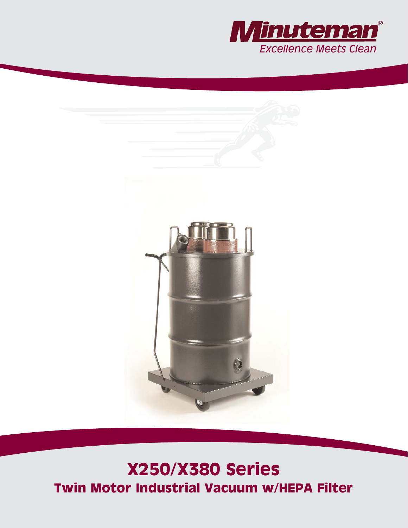



# **X250/X380 Series Twin Motor Industrial Vacuum w/HEPA Filter**